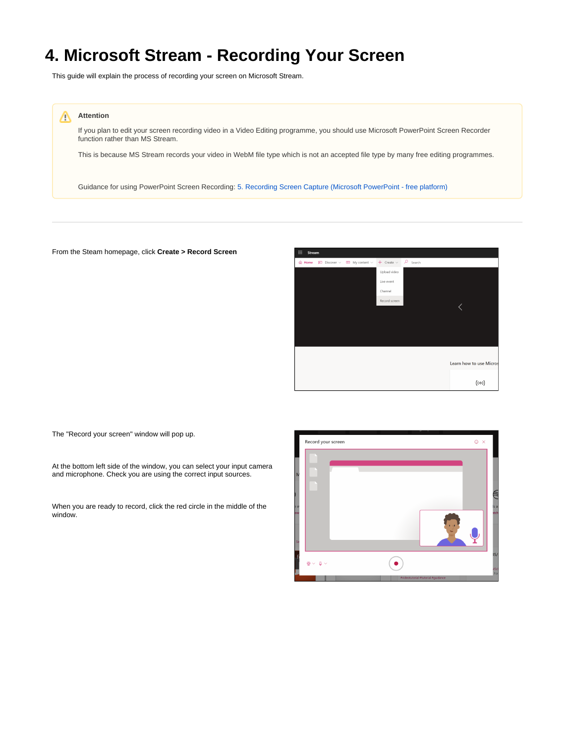## **4. Microsoft Stream - Recording Your Screen**

This guide will explain the process of recording your screen on Microsoft Stream.



If you plan to edit your screen recording video in a Video Editing programme, you should use Microsoft PowerPoint Screen Recorder function rather than MS Stream.

This is because MS Stream records your video in WebM file type which is not an accepted file type by many free editing programmes.

Guidance for using PowerPoint Screen Recording: [5. Recording Screen Capture \(Microsoft PowerPoint - free platform\)](https://wiki.lte.strath.ac.uk/pages/viewpage.action?pageId=157024274)

## From the Steam homepage, click **Create > Record Screen**



The "Record your screen" window will pop up.

At the bottom left side of the window, you can select your input camera and microphone. Check you are using the correct input sources.

When you are ready to record, click the red circle in the middle of the window.

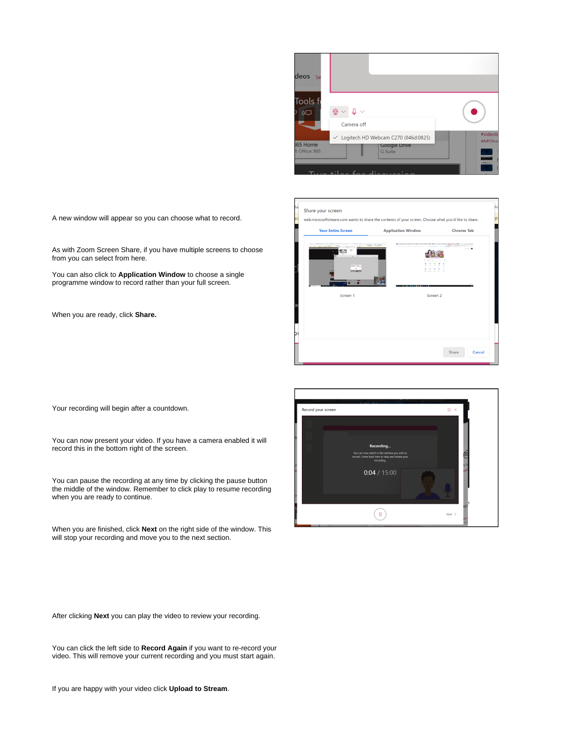

| <b>Your Entire Screen</b> | <b>Application Window</b>                                    | <b>Chrome Tab</b>                                                    |
|---------------------------|--------------------------------------------------------------|----------------------------------------------------------------------|
|                           | THE REAL PROPERTY AND RECEIVED<br>Control March 10, 2006 111 | IN BUILD BOTTO, THE TAXE BUILDE STATE CARDS TO<br><b>MARINE AREA</b> |
|                           |                                                              |                                                                      |
|                           |                                                              |                                                                      |
| Screen 1                  | Screen <sub>2</sub>                                          |                                                                      |
|                           |                                                              |                                                                      |
|                           |                                                              |                                                                      |
|                           |                                                              |                                                                      |

A new window will appear so you can choose what to record.

As with Zoom Screen Share, if you have multiple screens to choose from you can select from here.

You can also click to **Application Window** to choose a single programme window to record rather than your full screen.

When you are ready, click **Share.**

Your recording will begin after a countdown.

You can now present your video. If you have a camera enabled it will record this in the bottom right of the screen.

You can pause the recording at any time by clicking the pause button the middle of the window. Remember to click play to resume recording when you are ready to continue.

When you are finished, click **Next** on the right side of the window. This will stop your recording and move you to the next section.

After clicking **Next** you can play the video to review your recording.

You can click the left side to **Record Again** if you want to re-record your video. This will remove your current recording and you must start again.

If you are happy with your video click **Upload to Stream**.